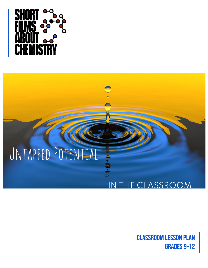

# Untapped Potential

## IN THE CLASSROOM

classroom lesson plan Grades 9–12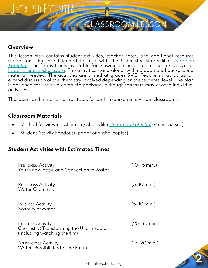## Untapped Potential

## **Overview**

This lesson plan contains student activities, teacher notes, and additional resource suggestions that are intended for use with the Chemistry Shorts film *[Untapped](https://vimeo.com/678904632)* [Potential](https://vimeo.com/678904632). The film is freely available for viewing online either at the link above or <http://chemistryshorts.org>. The activities stand alone, with no additional background material needed. The activities are aimed at grades 9–12. Teachers may adjust or extend discussion of the chemistry involved depending on the students' level. The plan is designed for use as a complete package, although teachers may choose individual activities.

**AGLASSROO** 

The lesson and materials are suitable for both in-person and virtual classrooms.

## **Classroom Materials**

- Method for viewing Chemistry Shorts film *[Untapped Potential](https://vimeo.com/678904632)* (9 min, 53 sec)
- Student Activity handouts (paper or digital copies)

## **Student Activities with Estimated Times**

| <b>Pre-class Activity</b><br>Your Knowledge and Connection to Water                           | $(10 - 15 \text{ min.})$ |
|-----------------------------------------------------------------------------------------------|--------------------------|
| <b>Pre-class Activity</b><br><b>Water Chemistry</b>                                           | $(5-10 \text{ min.})$    |
| In-class Activity<br><b>Scarcity of Water</b>                                                 | $(5-10 \text{ min.})$    |
| In-class Activity<br>Chemistry: Transforming the Undrinkable<br>(including watching the film) | $(25 - 30 \text{ min.})$ |
| After-class Activity<br>Water: Possibilities for the Future                                   | $(15 - 20 \text{ min.})$ |
|                                                                                               |                          |

chemistryshorts.org **2**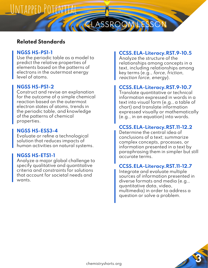## UNTAPPED POTENTIAL

## **Related Standards**

#### **NGSS HS-PS1-1**

Use the periodic table as a model to predict the relative properties of elements based on the patterns of electrons in the outermost energy level of atoms.

#### **NGSS HS-PS1-2**

Construct and revise an explanation for the outcome of a simple chemical reaction based on the outermost electron states of atoms, trends in the periodic table, and knowledge of the patterns of chemical properties.

#### **NGSS HS-ESS3-4**

Evaluate or refine a technological solution that reduces impacts of human activities on natural systems.

#### **NGSS HS-ETS1-1**

Analyze a major global challenge to specify qualitative and quantitative criteria and constraints for solutions that account for societal needs and wants.

### **CCSS.ELA-Literacy.RST.9-10.5**

CLASSROOM LESSON CLASSROOM LESSON

Analyze the structure of the relationships among concepts in a text, including relationships among key terms (e.g., force, friction, reaction force, energy).

#### **CCSS.ELA-Literacy.RST.9-10.7**

Translate quantitative or technical information expressed in words in a text into visual form (e.g., a table of chart) and translate information expressed visually or mathematically (e.g., in an equation) into words.

### **CCSS.ELA-Literacy.RST.11-12.2**

Determine the central idea of conclusions of a text; summarize complex concepts, processes, or information presented in a text by paraphrasing them in simpler but still accurate terms.

## **CCSS.ELA-Literacy.RST.11-12.7**

Integrate and evaluate multiple sources of information presented in diverse formats and media (e.g., quantitative data, video, multimedia) in order to address a question or solve a problem.

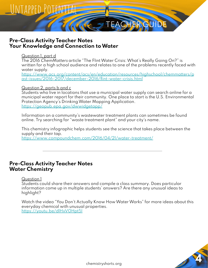

## **Pre-Class Activity Teacher Notes Your Knowledge and Connection to Water**

#### Question 1, part d

The 2016 ChemMatters article "The Flint Water Crisis: What's Really Going On?" is written for a high school audience and relates to one of the problems recently faced with water supply.

[https://www.acs.org/content/acs/en/education/resources/highschool/chemmatters/p](https://www.acs.org/content/acs/en/education/resources/highschool/chemmatters/past-issues/2016-2017/december-2016/flint-water-crisis.html) [ast-issues/2016-2017/december-2016/flint-water-crisis.html](https://www.acs.org/content/acs/en/education/resources/highschool/chemmatters/past-issues/2016-2017/december-2016/flint-water-crisis.html)

#### Question 2, parts b and c

Students who live in locations that use a municipal water supply can search online for a municipal water report for their community. One place to start is the U.S. Environmental Protection Agency's Drinking Water Mapping Application. <https://geopub.epa.gov/dwwidgetapp/>

Information on a community's wastewater treatment plants can sometimes be found online. Try searching for "waste treatment plant" and your city's name.

This chemistry infographic helps students see the science that takes place between the supply and their tap.

<https://www.compoundchem.com/2016/04/21/water-treatment/>

## **Pre-Class Activity Teacher Notes Water Chemistry**

#### Question 1

Students could share their answers and compile a class summary. Does particular information come up in multiple students' answers? Are there any unusual ideas to highlight?

Watch the video "You Don't Actually Know How Water Works" for more ideas about this everyday chemical with unusual properties. <https://youtu.be/dlHxV0Hpt5I>

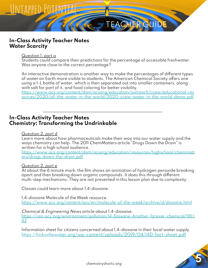

Question I, part a

UNTAPPED POTENTIA

Students could compare their predictions for the percentage of accessible freshwater. Was anyone close to the correct percentage?

TEACHER GUIDE

An interactive demonstration is another way to make the percentages of different types of water on Earth more visible to students. The American Chemical Society offers one using a 1-L bottle of water, which is then separated out into smaller containers, along with salt for part of it, and food coloring for better visibility.

[https://www.acs.org/content/dam/acsorg/education/outreach/ccew/educational-res](https://www.acs.org/content/dam/acsorg/education/outreach/ccew/educational-resources/2020/all-the-water-in-the-world/2020-ccew-water-in-the-world-demo.pdf) [ources/2020/all-the-water-in-the-world/2020-ccew-water-in-the-world-demo.pdf](https://www.acs.org/content/dam/acsorg/education/outreach/ccew/educational-resources/2020/all-the-water-in-the-world/2020-ccew-water-in-the-world-demo.pdf)

## **In-Class Activity Teacher Notes Chemistry: Transforming the Undrinkable**

#### Question 2, part d

Learn more about how pharmaceuticals make their way into our water supply and the ways chemistry can help. The 2011 ChemMatters article "Drugs Down the Drain" is written for a high school audience.

[https://www.acs.org/content/dam/acsorg/education/resources/highschool/chemmatt](https://www.acs.org/content/dam/acsorg/education/resources/highschool/chemmatters/drugs-down-the-drain.pdf) [ers/drugs-down-the-drain.pdf](https://www.acs.org/content/dam/acsorg/education/resources/highschool/chemmatters/drugs-down-the-drain.pdf)

#### Question 2, part e

At about the 6 minute mark, the film shows an animation of hydrogen peroxide breaking apart and then breaking down organic compounds. It does this through different multi-step mechanisms. They are not presented in this lesson plan due to complexity.

Classes could learn more about 1,4-dioxane.

1,4-dioxane Molecule of the Week resource. <https://www.acs.org/content/acs/en/molecule-of-the-week/archive/d/dioxane.html>

Chemical & Engineering News article about 1,4-dioxane. [https://cen.acs.org/environment/pollution/14-Dioxane-Another-forever-chemical/98/i](https://cen.acs.org/environment/pollution/14-Dioxane-Another-forever-chemical/98/i43) [43](https://cen.acs.org/environment/pollution/14-Dioxane-Another-forever-chemical/98/i43)

Information sheet for citizens concerned about 1,4-dioxane in their local water supply. https://hicksvillewa[ter.org/wp-content/uploads/2019/04/14D-fact-sheet.pdf](https://hicksvillewater.org/wp-content/uploads/2019/04/14D-fact-sheet.pdf)

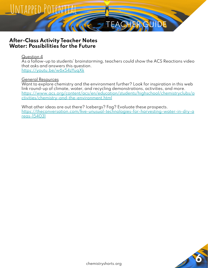

## **After-Class Activity Teacher Notes Water: Possibilities for the Future**

#### Question 4

As a follow-up to students' brainstorming, teachers could show the ACS Reactions video that asks and answers this question. <https://youtu.be/w6x54zYuqXk>

#### General Resources

Want to explore chemistry and the environment further? Look for inspiration in this web link round-up of climate, water, and recycling demonstrations, activities, and more. [https://www.acs.org/content/acs/en/education/students/highschool/chemistryclubs/a](https://www.acs.org/content/acs/en/education/students/highschool/chemistryclubs/activities/chemistry-and-the-environment.html) [ctivities/chemistry-and-the-environment.html](https://www.acs.org/content/acs/en/education/students/highschool/chemistryclubs/activities/chemistry-and-the-environment.html)

What other ideas are out there? Icebergs? Fog? Evaluate these prospects. [https://theconversation.com/five-unusual-technologies-for-harvesting-water-in-dry-a](https://theconversation.com/five-unusual-technologies-for-harvesting-water-in-dry-areas-154031) [reas-154031](https://theconversation.com/five-unusual-technologies-for-harvesting-water-in-dry-areas-154031)

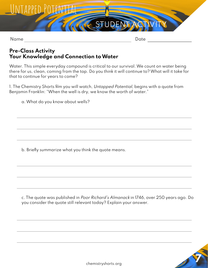

## **Pre-Class Activity Your Knowledge and Connection to Water**

Water. This simple everyday compound is critical to our survival. We count on water being there for us, clean, coming from the tap. Do you think it will continue to? What will it take for that to continue for years to come?

1. The Chemistry Shorts film you will watch, Untapped Potential, begins with a quote from Benjamin Franklin: "When the well is dry, we know the worth of water."

a. What do you know about wells?

b. Briefly summarize what you think the quote means.

c. The quote was published in Poor Richard's Almanack in 1746, over 250 years ago. Do you consider the quote still relevant today? Explain your answer.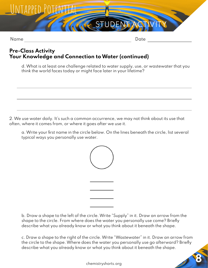

## **Pre-Class Activity Your Knowledge and Connection to Water (continued)**

d. What is at least one challenge related to water supply, use, or wastewater that you think the world faces today or might face later in your lifetime?

**STU** 

2. We use water daily. It's such a common occurrence, we may not think about its use that often, where it comes from, or where it goes after we use it.

a. Write your first name in the circle below. On the lines beneath the circle, list several typical ways you personally use water.



b. Draw a shape to the left of the circle. Write "Supply" in it. Draw an arrow from the shape to the circle. From where does the water you personally use come? Briefly describe what you already know or what you think about it beneath the shape.

c. Draw a shape to the right of the circle. Write "Wastewater" in it. Draw an arrow from the circle to the shape. Where does the water you personally use go afterward? Briefly describe what you already know or what you think about it beneath the shape.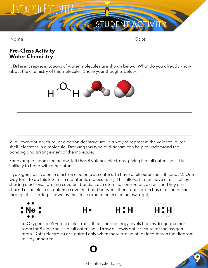

## **Pre-Class Activity Water Chemistry**

1. Different representations of water molecules are shown below. What do you already know about the chemistry of this molecule? Share your thoughts below.



2. A Lewis dot structure, or electron dot structure, is a way to represent the valence (outer shell) electrons in a molecule. Drawing this type of diagram can help to understand the bonding and arrangement of the molecule.

For example, neon (see below, left) has 8 valence electrons, giving it a full outer shell; it is unlikely to bond with other atoms.

Hydrogen has 1 valence electron (see below, center). To have a full outer shell, it needs 2. One way for it to do this is to form a diatomic molecule,  ${\sf H}_2$ . This allows it to achieve a full shell by sharing electrons, forming covalent bonds. Each atom has one valence electron They are shared as an electron pair in a covalent bond between them; each atom has a full outer shell through this sharing, shown by the circle around each (see below, right).



**O**

a. Oxygen has 6 valence electrons. It has more energy levels than hydrogen, so has room for 8 electrons in a full outer shell. Draw a Lewis dot structure for the oxygen atom. Dots (electrons) are paired only when there are no other locations in the diagram to stay unpaired.

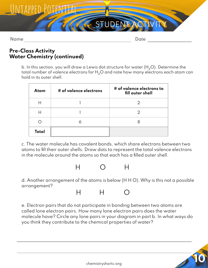

## **Pre-Class Activity Water Chemistry (continued)**

b. In this section, you will draw a Lewis dot structure for water  $(H<sub>2</sub>O)$ . Determine the total number of valence electrons for  $H_2O$  and note how many electrons each atom can hold in its outer shell.

| Atom  | # of valence electrons | # of valence electrons to<br>fill outer shell |
|-------|------------------------|-----------------------------------------------|
| Н     |                        |                                               |
| Н     |                        |                                               |
|       |                        |                                               |
| Total |                        |                                               |

c. The water molecule has covalent bonds, which share electrons between two atoms to fill their outer shells. Draw dots to represent the total valence electrons in the molecule around the atoms so that each has a filled outer shell.



d. Another arrangement of the atoms is below (H H O). Why is this not a possible arrangement?



e. Electron pairs that do not participate in bonding between two atoms are called lone electron pairs. How many lone electron pairs does the water molecule have? Circle any lone pairs in your diagram in part b. In what ways do you think they contribute to the chemical properties of water?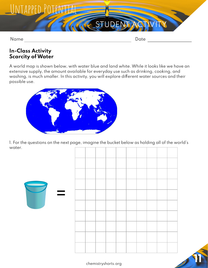

Name Date Date Date

## **In-Class Activity Scarcity of Water**

A world map is shown below, with water blue and land white. While it looks like we have an extensive supply, the amount available for everyday use such as drinking, cooking, and washing, is much smaller. In this activity, you will explore different water sources and their possible use.



1. For the questions on the next page, imagine the bucket below as holding all of the world's water.



chemistryshorts.org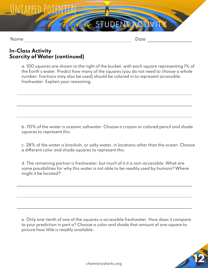

## **In-Class Activity Scarcity of Water (continued)**

a. 100 squares are shown to the right of the bucket, with each square representing 1% of the Earth's water. Predict how many of the squares (you do not need to choose a whole number; fractions may also be used) should be colored in to represent accessible freshwater. Explain your reasoning.

**ACSTUDE** 

b. 70% of the water is oceanic saltwater. Choose a crayon or colored pencil and shade squares to represent this.

c. 28% of the water is brackish, or salty water, in locations other than the ocean. Choose a different color and shade squares to represent this.

d. The remaining portion is freshwater, but much of it it is non-accessible. What are some possibilities for why this water is not able to be readily used by humans? Where might it be located?

e. Only one-tenth of one of the squares is accessible freshwater. How does it compare to your prediction in part a? Choose a color and shade that amount of one square to picture how little is readily available.

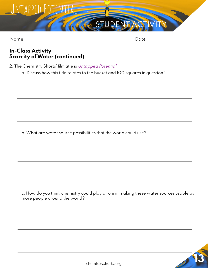## UNTAPPED POTENTIA

Name Date Date

## **In-Class Activity Scarcity of Water (continued)**

2. The Chemistry Shorts' film title is *[Untapped Potential](https://vimeo.com/678904632)*.

a. Discuss how this title relates to the bucket and 100 squares in question 1.

**ACTUDENT** 

b. What are water source possibilities that the world could use?

c. How do you think chemistry could play a role in making these water sources usable by more people around the world?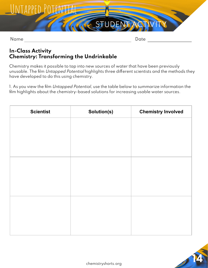

Name Date Date Date Date

## **In-Class Activity Chemistry: Transforming the Undrinkable**

Chemistry makes it possible to tap into new sources of water that have been previously unusable. The film Untapped Potential highlights three different scientists and the methods they have developed to do this using chemistry.

1. As you view the film Untapped Potential, use the table below to summarize information the film highlights about the chemistry-based solutions for increasing usable water sources.

| <b>Scientist</b> | Solution(s) | <b>Chemistry Involved</b> |
|------------------|-------------|---------------------------|
|                  |             |                           |
|                  |             |                           |
|                  |             |                           |
|                  |             |                           |
|                  |             |                           |
|                  |             |                           |
|                  |             |                           |
|                  |             |                           |
|                  |             |                           |
|                  |             |                           |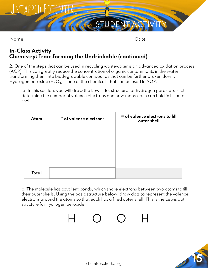

## **In-Class Activity Chemistry: Transforming the Undrinkable (continued)**

2. One of the steps that can be used in recycling wastewater is an advanced oxidation process (AOP). This can greatly reduce the concentration of organic contaminants in the water, transforming them into biodegradable compounds that can be further broken down. Hydrogen peroxide (H $_{2}$ O $_{2}$ ) is one of the chemicals that can be used in AOP.

a. In this section, you will draw the Lewis dot structure for hydrogen peroxide. First, determine the number of valence electrons and how many each can hold in its outer shell.

| Atom         | # of valence electrons | # of valence electrons to fill<br>outer shell |
|--------------|------------------------|-----------------------------------------------|
|              |                        |                                               |
|              |                        |                                               |
|              |                        |                                               |
|              |                        |                                               |
| <b>Total</b> |                        |                                               |

b. The molecule has covalent bonds, which share electrons between two atoms to fill their outer shells. Using the basic structure below, draw dots to represent the valence electrons around the atoms so that each has a filled outer shell. This is the Lewis dot structure for hydrogen peroxide.



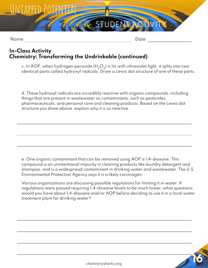

## **In-Class Activity Chemistry: Transforming the Undrinkable (continued)**

c. In AOP, when hydrogen peroxide (H $_{2} \rm O_{2}$ ) is hit with ultraviolet light, it splits into two identical parts called hydroxyl radicals. Draw a Lewis dot structure of one of these parts.

d. These hydroxyl radicals are incredibly reactive with organic compounds, including things that are present in wastewater as contaminants, such as pesticides, pharmaceuticals, and personal care and cleaning products. Based on the Lewis dot structure you drew above, explain why it is so reactive.

e. One organic contaminant that can be removed using AOP is 1,4-dioxane. This compound is an unintentional impurity in cleaning products like laundry detergent and shampoo, and is a widespread contaminant in drinking water and wastewater. The U.S. Environmental Protection Agency says it is a likely carcinogen.

Various organizations are discussing possible regulations for limiting it in water. If regulations were passed requiring 1,4-dioxane levels to be much lower, what questions would you have about 1,4-dioxane and/or AOP before deciding to use it in a local water treatment plant for drinking water?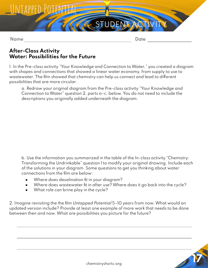

## **After-Class Activity Water: Possibilities for the Future**

1. In the Pre-class activity "Your Knowledge and Connection to Water," you created a diagram with shapes and connections that showed a linear water economy, from supply to use to wastewater. The film showed that chemistry can help us connect and lead to different possibilities that are more circular.

a. Redraw your original diagram from the Pre-class activity "Your Knowledge and Connection to Water" question 2, parts a–c, below. You do not need to include the descriptions you originally added underneath the diagram.

b. Use the information you summarized in the table of the In-class activity "Chemistry: Transforming the Undrinkable" question 1 to modify your original drawing. Include each of the solutions in your diagram. Some questions to get you thinking about water connections from the film are below:

- Where does desalination fit in your diagram?
- Where does wastewater fit in after use? Where does it go back into the cycle?
- What role can brine play in the cycle?

2. Imagine revisiting the the film Untapped Potential 5–10 years from now. What would an updated version include? Provide at least one example of more work that needs to be done between then and now. What are possibilities you picture for the future?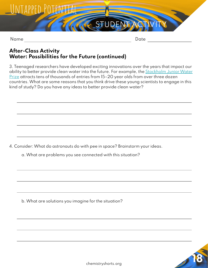

## **After-Class Activity Water: Possibilities for the Future (continued)**

3. Teenaged researchers have developed exciting innovations over the years that impact our ability to better provide clean water into the future. For example, the [Stockholm Junior Water](https://siwi.org/stockholm-junior-water-prize/) [Prize](https://siwi.org/stockholm-junior-water-prize/) attracts tens of thousands of entries from 15-20 year olds from over three dozen countries. What are some reasons that you think drive these young scientists to engage in this kind of study? Do you have any ideas to better provide clean water?

**AG STUDENT** 

4. Consider: What do astronauts do with pee in space? Brainstorm your ideas.

a. What are problems you see connected with this situation?

b. What are solutions you imagine for the situation?